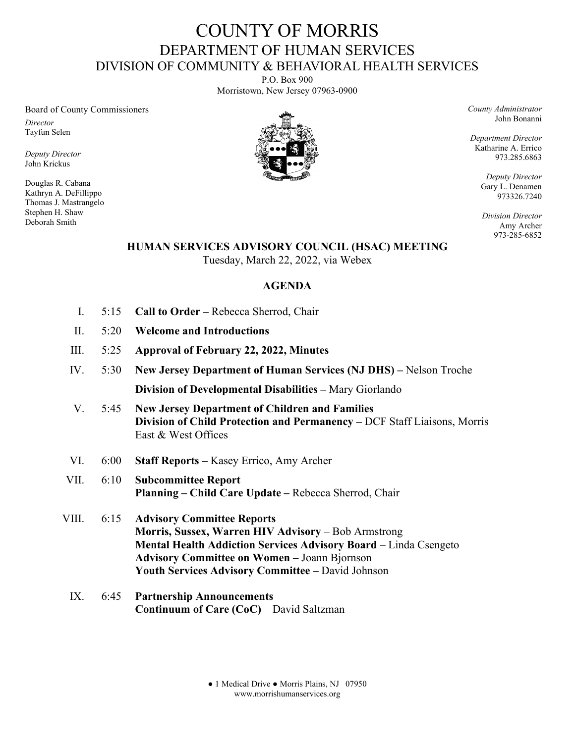## COUNTY OF MORRIS DEPARTMENT OF HUMAN SERVICES DIVISION OF COMMUNITY & BEHAVIORAL HEALTH SERVICES

P.O. Box 900 Morristown, New Jersey 07963-0900

Board of County Commissioners

*Director* Tayfun Selen

*Deputy Director* John Krickus

Douglas R. Cabana Kathryn A. DeFillippo Thomas J. Mastrangelo Stephen H. Shaw Deborah Smith



*County Administrator* John Bonanni

*Department Director* Katharine A. Errico 973.285.6863

> *Deputy Director* Gary L. Denamen 973326.7240

> *Division Director* Amy Archer 973-285-6852

## **HUMAN SERVICES ADVISORY COUNCIL (HSAC) MEETING**

Tuesday, March 22, 2022, via Webex

## **AGENDA**

- I. 5:15 **Call to Order** Rebecca Sherrod, Chair
- II. 5:20 **Welcome and Introductions**
- III. 5:25 **Approval of February 22, 2022, Minutes**
- IV. 5:30 **New Jersey Department of Human Services (NJ DHS)** Nelson Troche **Division of Developmental Disabilities –** Mary Giorlando
- V. 5:45 **New Jersey Department of Children and Families Division of Child Protection and Permanency –** DCF Staff Liaisons, Morris East & West Offices
- VI. 6:00 **Staff Reports** Kasey Errico, Amy Archer
- VII. 6:10 **Subcommittee Report Planning – Child Care Update –** Rebecca Sherrod, Chair
- VIII. 6:15 **Advisory Committee Reports Morris, Sussex, Warren HIV Advisory** – Bob Armstrong **Mental Health Addiction Services Advisory Board** – Linda Csengeto **Advisory Committee on Women –** Joann Bjornson **Youth Services Advisory Committee –** David Johnson
	- IX. 6:45 **Partnership Announcements Continuum of Care (CoC)** – David Saltzman

● 1 Medical Drive ● Morris Plains, NJ 07950 www.morrishumanservices.org